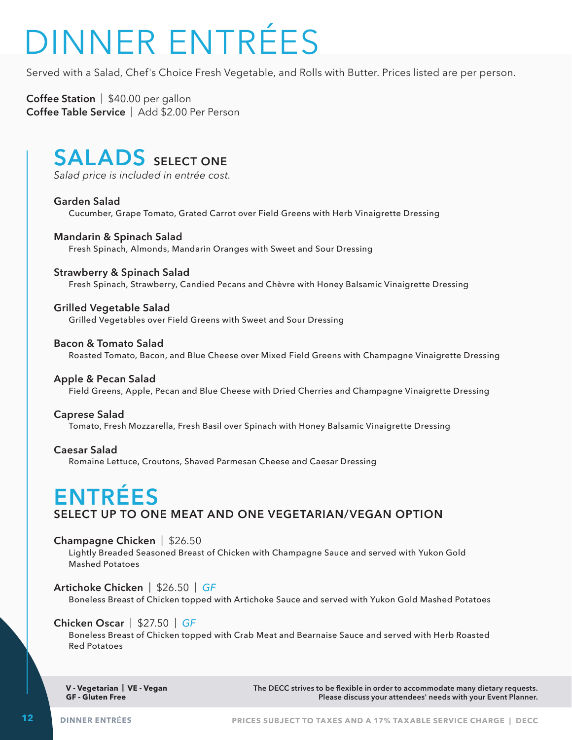# DINNER ENTRÉES

Served with a Salad, Chef's Choice Fresh Vegetable, and Rolls with Butter. Prices listed are per person.

**Coffee Station** | \$40.00 per gallon **Coffee Table Service** | Add \$2.00 Per Person

# **SALADS** SELECT ONE

*Salad price is included in entrée cost.*

**Garden Salad** Cucumber, Grape Tomato, Grated Carrot over Field Greens with Herb Vinaigrette Dressing

**Mandarin & Spinach Salad** Fresh Spinach, Almonds, Mandarin Oranges with Sweet and Sour Dressing

#### **Strawberry & Spinach Salad**

 Fresh Spinach, Strawberry, Candied Pecans and Chèvre with Honey Balsamic Vinaigrette Dressing

#### **Grilled Vegetable Salad**

 Grilled Vegetables over Field Greens with Sweet and Sour Dressing

#### **Bacon & Tomato Salad**

Roasted Tomato, Bacon, and Blue Cheese over Mixed Field Greens with Champagne Vinaigrette Dressing

#### **Apple & Pecan Salad**

 Field Greens, Apple, Pecan and Blue Cheese with Dried Cherries and Champagne Vinaigrette Dressing

#### **Caprese Salad**

 Tomato, Fresh Mozzarella, Fresh Basil over Spinach with Honey Balsamic Vinaigrette Dressing

**Caesar Salad**

 Romaine Lettuce, Croutons, Shaved Parmesan Cheese and Caesar Dressing

## **ENTRÉES SELECT UP TO ONE MEAT AND ONE VEGETARIAN/VEGAN OPTION**

#### **Champagne Chicken** | \$26.50

 Lightly Breaded Seasoned Breast of Chicken with Champagne Sauce and served with Yukon Gold Mashed Potatoes

**Artichoke Chicken** | \$26.50 | *GF*

 Boneless Breast of Chicken topped with Artichoke Sauce and served with Yukon Gold Mashed Potatoes

#### **Chicken Oscar** | \$27.50 | *GF*

 Boneless Breast of Chicken topped with Crab Meat and Bearnaise Sauce and served with Herb Roasted Red Potatoes

**V - Vegetarian | VE - Vegan GF - Gluten Free**

**The DECC strives to be flexible in order to accommodate many dietary requests. Please discuss your attendees' needs with your Event Planner.**